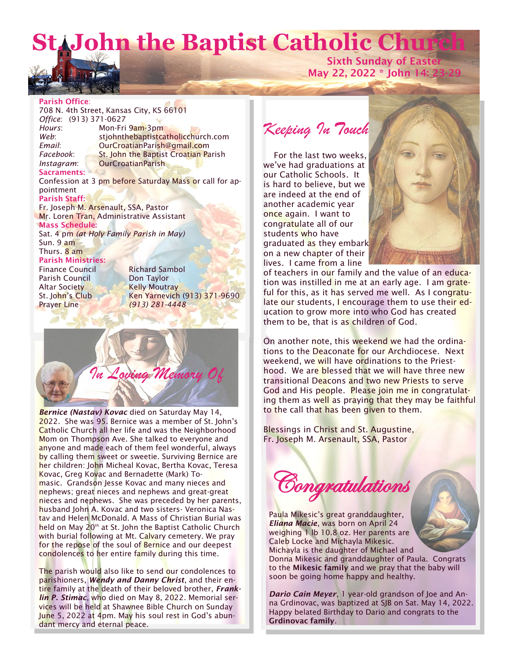# **St. John the Baptist Catholic Church**



**Sixth Sunday of Easter May 22, 2022 \* John 14: 23-29**

### **Parish Office**:

708 N. 4th Street, Kansas City, KS 66101 *Office*: (913) 371-0627 *Hours*: Mon-Fri 9am-3pm Web: stjohnthebaptistcatholicchurch.com *Email*: OurCroatianParish@gmail.com *Facebook*: St. John the Baptist Croatian Parish *Instagram*: OurCroatianParish **Sacraments:**

Confession at 3 pm before Saturday Mass or call for appointment

**Parish Staff:** Fr. Joseph M. Arsenault, SSA, Pastor Mr. Loren Tran, Administrative Assistant **Mass Schedule:**  Sat. 4 pm *(at Holy Family Parish in May)* Sun. 9 am Thurs. 8 am

**Parish Ministries:** Finance Council Richard Sambol Parish Council **Don Taylor** Altar Society Kelly Moutray Prayer Line *(913) 281-4448*

St. John's Club Ken Yarnevich (913) 371-9690



*Bernice (Nastav) Kovac* died on Saturday May 14, 2022. She was 95. Bernice was a member of St. John's Catholic Church all her life and was the Neighborhood Mom on Thompson Ave. She talked to everyone and anyone and made each of them feel wonderful, always by calling them sweet or sweetie. Surviving Bernice are her children: John Micheal Kovac, Bertha Kovac, Teresa Kovac, Greg Kovac and Bernadette (Mark) Tomasic. Grandson Jesse Kovac and many nieces and nephews; great nieces and nephews and great-great nieces and nephews. She was preceded by her parents, husband John A. Kovac and two sisters- Veronica Nastav and Helen McDonald. A Mass of Christian Burial was held on May  $20<sup>th</sup>$  at St. John the Baptist Catholic Church with burial following at Mt. Calvary cemetery. We pray for the repose of the soul of Bernice and our deepest condolences to her entire family during this time.

The parish would also like to send our condolences to parishioners, *Wendy and Danny Christ*, and their entire family at the death of their beloved brother, *Franklin P. Stimac*, who died on May 8, 2022. Memorial services will be held at Shawnee Bible Church on Sunday June 5, 2022 at 4pm. May his soul rest in God's abundant mercy and eternal peace.

*Keeping In Touch*

 For the last two weeks, we've had graduations at our Catholic Schools. It is hard to believe, but we are indeed at the end of another academic year once again. I want to congratulate all of our students who have graduated as they embark on a new chapter of their lives. I came from a line



of teachers in our family and the value of an education was instilled in me at an early age. I am grateful for this, as it has served me well. As I congratulate our students, I encourage them to use their education to grow more into who God has created them to be, that is as children of God.

On another note, this weekend we had the ordinations to the Deaconate for our Archdiocese. Next weekend, we will have ordinations to the Priesthood. We are blessed that we will have three new transitional Deacons and two new Priests to serve God and His people. Please join me in congratulating them as well as praying that they may be faithful to the call that has been given to them.

Blessings in Christ and St. Augustine, Fr. Joseph M. Arsenault, SSA, Pastor



Paula Mikesic's great granddaughter, *Eliana Macie*, was born on April 24 weighing 1 lb 10.8 oz. Her parents are Caleb Locke and Michayla Mikesic. Michayla is the daughter of Michael and Donna Mikesic and granddaughter of Paula. Congrats

to the **Mikesic family** and we pray that the baby will soon be going home happy and healthy.

*Dario Cain Meyer*, 1 year-old grandson of Joe and Anna Grdinovac, was baptized at SJB on Sat. May 14, 2022. Happy belated Birthday to Dario and congrats to the **Grdinovac family**.